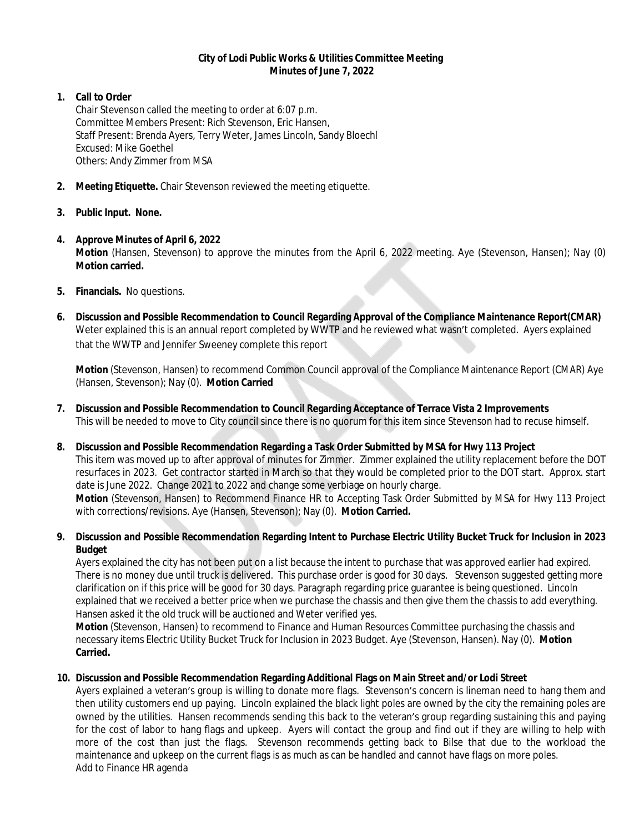## **City of Lodi Public Works & Utilities Committee Meeting Minutes of June 7, 2022**

# **1. Call to Order**

Chair Stevenson called the meeting to order at 6:07 p.m. Committee Members Present: Rich Stevenson, Eric Hansen, Staff Present: Brenda Ayers, Terry Weter, James Lincoln, Sandy Bloechl Excused: Mike Goethel Others: Andy Zimmer from MSA

- **2. Meeting Etiquette.** Chair Stevenson reviewed the meeting etiquette.
- **3. Public Input. None.**
- **4. Approve Minutes of April 6, 2022 Motion** (Hansen, Stevenson) to approve the minutes from the April 6, 2022 meeting. Aye (Stevenson, Hansen); Nay (0) **Motion carried.**
- **5. Financials.** No questions.
- **6. Discussion and Possible Recommendation to Council Regarding Approval of the Compliance Maintenance Report(CMAR)** Weter explained this is an annual report completed by WWTP and he reviewed what wasn't completed. Ayers explained that the WWTP and Jennifer Sweeney complete this report

**Motion** (Stevenson, Hansen) to recommend Common Council approval of the Compliance Maintenance Report (CMAR) Aye (Hansen, Stevenson); Nay (0). **Motion Carried**

- **7. Discussion and Possible Recommendation to Council Regarding Acceptance of Terrace Vista 2 Improvements** This will be needed to move to City council since there is no quorum for this item since Stevenson had to recuse himself.
- **8. Discussion and Possible Recommendation Regarding a Task Order Submitted by MSA for Hwy 113 Project**

This item was moved up to after approval of minutes for Zimmer. Zimmer explained the utility replacement before the DOT resurfaces in 2023. Get contractor started in March so that they would be completed prior to the DOT start. Approx. start date is June 2022. Change 2021 to 2022 and change some verbiage on hourly charge.

**Motion** (Stevenson, Hansen) to Recommend Finance HR to Accepting Task Order Submitted by MSA for Hwy 113 Project with corrections/revisions. Aye (Hansen, Stevenson); Nay (0). **Motion Carried.**

9. Discussion and Possible Recommendation Regarding Intent to Purchase Electric Utility Bucket Truck for Inclusion in 2023 **Budget**

Ayers explained the city has not been put on a list because the intent to purchase that was approved earlier had expired. There is no money due until truck is delivered. This purchase order is good for 30 days. Stevenson suggested getting more clarification on if this price will be good for 30 days. Paragraph regarding price guarantee is being questioned. Lincoln explained that we received a better price when we purchase the chassis and then give them the chassis to add everything. Hansen asked it the old truck will be auctioned and Weter verified yes.

**Motion** (Stevenson, Hansen) to recommend to Finance and Human Resources Committee purchasing the chassis and necessary items Electric Utility Bucket Truck for Inclusion in 2023 Budget. Aye (Stevenson, Hansen). Nay (0). **Motion Carried.**

# **10. Discussion and Possible Recommendation Regarding Additional Flags on Main Street and/or Lodi Street**

Ayers explained a veteran's group is willing to donate more flags. Stevenson's concern is lineman need to hang them and then utility customers end up paying. Lincoln explained the black light poles are owned by the city the remaining poles are owned by the utilities. Hansen recommends sending this back to the veteran's group regarding sustaining this and paying for the cost of labor to hang flags and upkeep. Ayers will contact the group and find out if they are willing to help with more of the cost than just the flags. Stevenson recommends getting back to Bilse that due to the workload the maintenance and upkeep on the current flags is as much as can be handled and cannot have flags on more poles. Add to Finance HR agenda